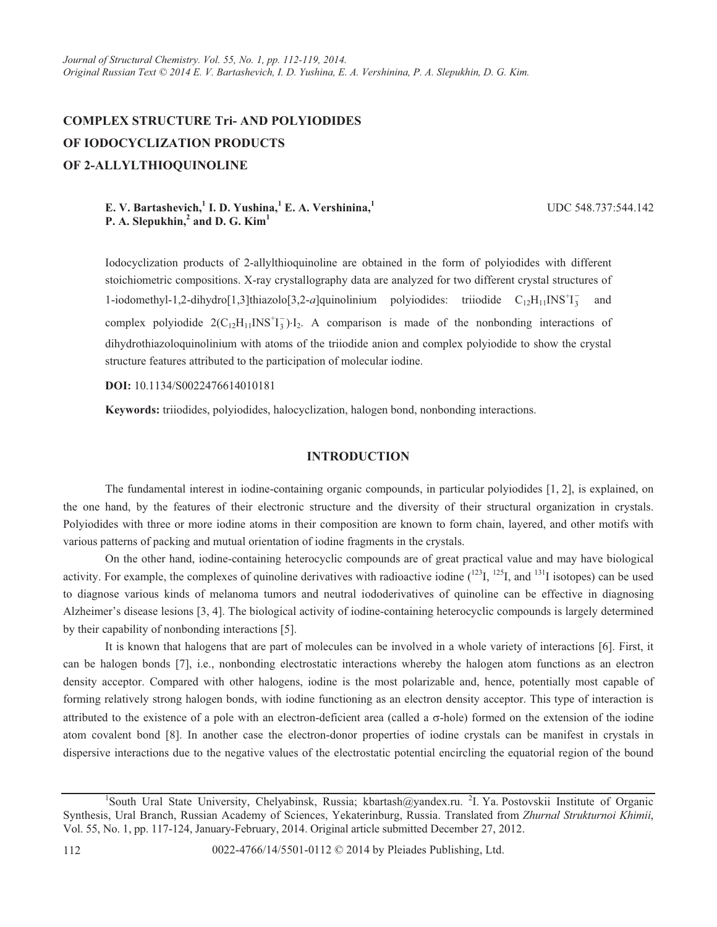# **COMPLEX STRUCTURE Tri- AND POLYIODIDES OF IODOCYCLIZATION PRODUCTS OF 2-ALLYLTHIOQUINOLINE**

# **E. V. Bartashevich,**<sup>1</sup>**I. D. Yushina,**<sup>1</sup>**E. A. Vershinina,**<sup>1</sup> **P. A. Slepukhin,**  $^2$  **and D. G. Kim**<sup>1</sup>

UDC 548.737:544.142

Iodocyclization products of 2-allylthioquinoline are obtained in the form of polyiodides with different stoichiometric compositions. X-ray crystallography data are analyzed for two different crystal structures of 1-iodomethyl-1,2-dihydro[1,3]thiazolo[3,2-*a*]quinolinium polyiodides: triiodide  $C_{12}H_{11}INS^{\dagger}T_3$  and complex polyiodide  $2(C_{12}H_{11}INS^{+}I_{3}^{-})\cdot I_{2}$ . A comparison is made of the nonbonding interactions of dihydrothiazoloquinolinium with atoms of the triiodide anion and complex polyiodide to show the crystal structure features attributed to the participation of molecular iodine.

**DOI:** 10.1134/S0022476614010181

**Keywords:** triiodides, polyiodides, halocyclization, halogen bond, nonbonding interactions.

#### **INTRODUCTION**

The fundamental interest in iodine-containing organic compounds, in particular polyiodides [1, 2], is explained, on the one hand, by the features of their electronic structure and the diversity of their structural organization in crystals. Polyiodides with three or more iodine atoms in their composition are known to form chain, layered, and other motifs with various patterns of packing and mutual orientation of iodine fragments in the crystals.

On the other hand, iodine-containing heterocyclic compounds are of great practical value and may have biological activity. For example, the complexes of quinoline derivatives with radioactive iodine  $(^{123}I, ^{125}I,$  and  $^{131}I$  isotopes) can be used to diagnose various kinds of melanoma tumors and neutral iododerivatives of quinoline can be effective in diagnosing Alzheimer's disease lesions [3, 4]. The biological activity of iodine-containing heterocyclic compounds is largely determined by their capability of nonbonding interactions [5].

It is known that halogens that are part of molecules can be involved in a whole variety of interactions [6]. First, it can be halogen bonds [7], i.e., nonbonding electrostatic interactions whereby the halogen atom functions as an electron density acceptor. Compared with other halogens, iodine is the most polarizable and, hence, potentially most capable of forming relatively strong halogen bonds, with iodine functioning as an electron density acceptor. This type of interaction is attributed to the existence of a pole with an electron-deficient area (called a  $\sigma$ -hole) formed on the extension of the iodine atom covalent bond [8]. In another case the electron-donor properties of iodine crystals can be manifest in crystals in dispersive interactions due to the negative values of the electrostatic potential encircling the equatorial region of the bound

<sup>&</sup>lt;sup>1</sup>South Ural State University, Chelyabinsk, Russia; kbartash@yandex.ru. <sup>2</sup>I. Ya. Postovskii Institute of Organic Synthesis, Ural Branch, Russian Academy of Sciences, Yekaterinburg, Russia. Translated from *Zhurnal Strukturnoi Khimii*, Vol. 55, No. 1, pp. 117-124, January-February, 2014. Original article submitted December 27, 2012.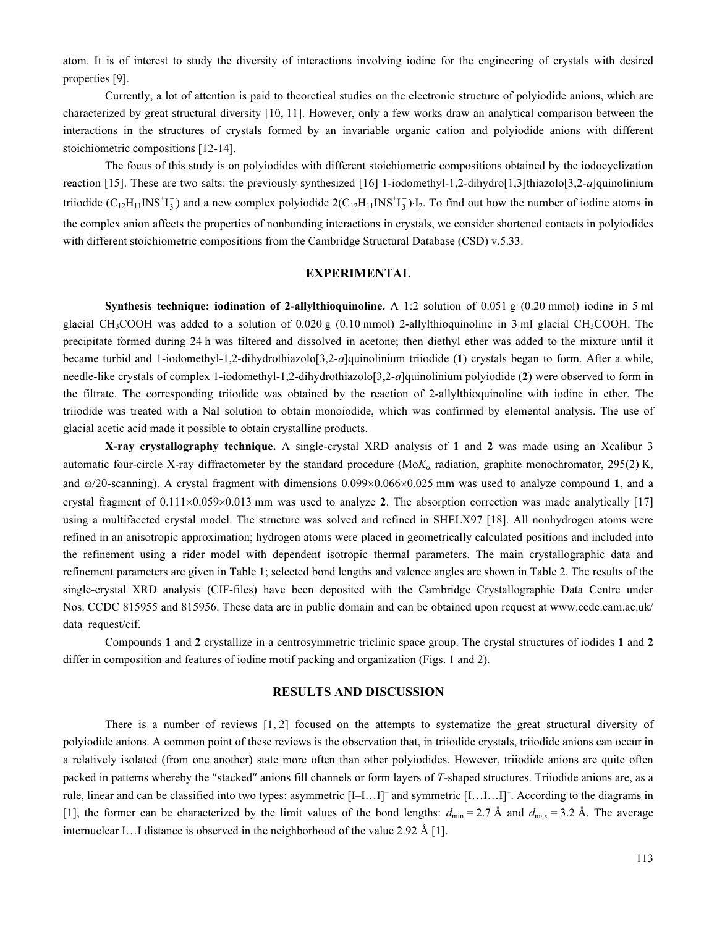atom. It is of interest to study the diversity of interactions involving iodine for the engineering of crystals with desired properties [9].

Currently, a lot of attention is paid to theoretical studies on the electronic structure of polyiodide anions, which are characterized by great structural diversity [10, 11]. However, only a few works draw an analytical comparison between the interactions in the structures of crystals formed by an invariable organic cation and polyiodide anions with different stoichiometric compositions [12-14].

The focus of this study is on polyiodides with different stoichiometric compositions obtained by the iodocyclization reaction [15]. These are two salts: the previously synthesized [16] 1-iodomethyl-1,2-dihydro[1,3]thiazolo[3,2-а]quinolinium triiodide  $(C_{12}H_{11}INS^{+}I_3^-)$  and a new complex polyiodide  $2(C_{12}H_{11}INS^{+}I_3^-)I_2$ . To find out how the number of iodine atoms in the complex anion affects the properties of nonbonding interactions in crystals, we consider shortened contacts in polyiodides with different stoichiometric compositions from the Cambridge Structural Database (CSD) v.5.33.

### EXPERIMENTAL

**Synthesis technique: iodination of 2-allylthioquinoline.** A 1:2 solution of 0.051 g (0.20 mmol) iodine in 5 ml glacial CH<sub>3</sub>COOH was added to a solution of 0.020 g (0.10 mmol) 2-allylthioquinoline in 3 ml glacial CH<sub>3</sub>COOH. The precipitate formed during 24 h was filtered and dissolved in acetone; then diethyl ether was added to the mixture until it became turbid and 1-iodomethyl-1,2-dihydrothiazolo[3,2-*a*]quinolinium triiodide (1) crystals began to form. After a while, needle-like crystals of complex 1-iodomethyl-1,2-dihydrothiazolo[3,2-а]quinolinium polyiodide (2) were observed to form in the filtrate. The corresponding triiodide was obtained by the reaction of 2-allylthioquinoline with iodine in ether. The triiodide was treated with a NaI solution to obtain monoiodide, which was confirmed by elemental analysis. The use of glacial acetic acid made it possible to obtain crystalline products.

X-ray crystallography technique. A single-crystal XRD analysis of 1 and 2 was made using an Xcalibur 3 automatic four-circle X-ray diffractometer by the standard procedure (Mo $K_{\alpha}$  radiation, graphite monochromator, 295(2) K, and ω/2θ-scanning). A crystal fragment with dimensions 0.099×0.066×0.025 mm was used to analyze compound 1, and a crystal fragment of  $0.111\times0.059\times0.013$  mm was used to analyze 2. The absorption correction was made analytically [17] using a multifaceted crystal model. The structure was solved and refined in SHELX97 [18]. All nonhydrogen atoms were refined in an anisotropic approximation; hydrogen atoms were placed in geometrically calculated positions and included into the refinement using a rider model with dependent isotropic thermal parameters. The main crystallographic data and refinement parameters are given in Table 1; selected bond lengths and valence angles are shown in Table 2. The results of the single-crystal XRD analysis (CIF-files) have been deposited with the Cambridge Crystallographic Data Centre under Nos. CCDC 815955 and 815956. These data are in public domain and can be obtained upon request at www.ccdc.cam.ac.uk/ data\_request/cif.

Compounds 1 and 2 crystallize in a centrosymmetric triclinic space group. The crystal structures of iodides 1 and 2 differ in composition and features of iodine motif packing and organization (Figs. 1 and 2).

## RESULTS AND DISCUSSION

There is a number of reviews [1, 2] focused on the attempts to systematize the great structural diversity of polyiodide anions. A common point of these reviews is the observation that, in triiodide crystals, triiodide anions can occur in a relatively isolated (from one another) state more often than other polyiodides. However, triiodide anions are quite often packed in patterns whereby the ″stacked″ anions fill channels or form layers of T-shaped structures. Triiodide anions are, as a rule, linear and can be classified into two types: asymmetric [I-I...I]<sup>-</sup> and symmetric [I...I...I]<sup>-</sup>. According to the diagrams in [1], the former can be characterized by the limit values of the bond lengths:  $d_{\text{min}} = 2.7 \text{ Å}$  and  $d_{\text{max}} = 3.2 \text{ Å}$ . The average internuclear I…I distance is observed in the neighborhood of the value 2.92 Å [1].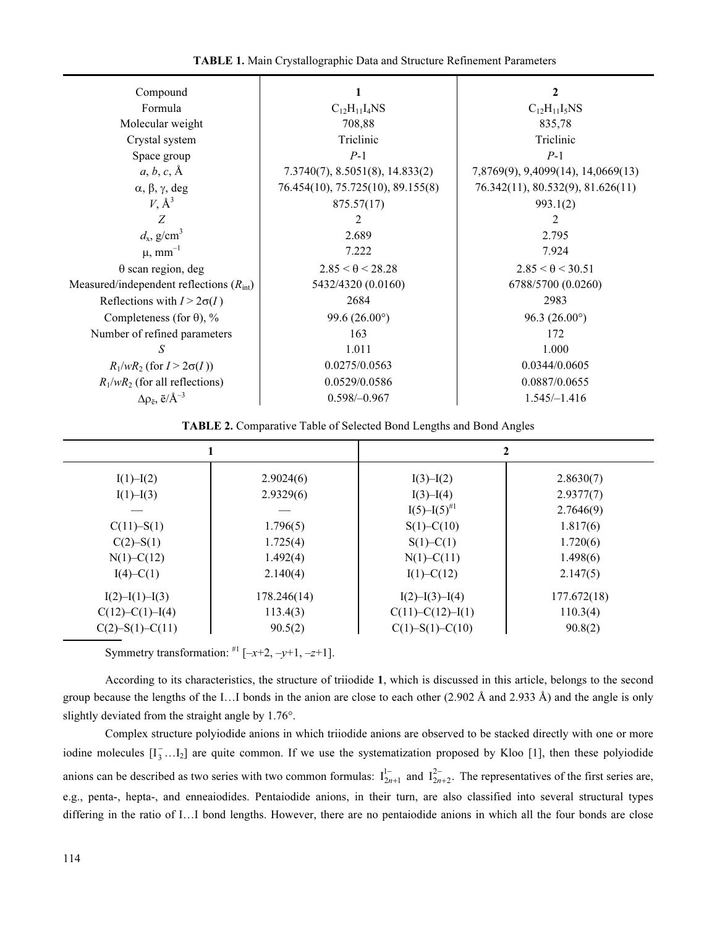| Compound                                  |                                    | $\mathbf{2}$                       |  |  |
|-------------------------------------------|------------------------------------|------------------------------------|--|--|
| Formula                                   | $C_{12}H_{11}I_4NS$                | $C_{12}H_{11}I_5NS$                |  |  |
| Molecular weight                          | 708,88                             | 835,78                             |  |  |
| Crystal system                            | Triclinic                          | Triclinic                          |  |  |
| Space group                               | $P-1$                              | $P-1$                              |  |  |
| $a, b, c, \mathring{A}$                   |                                    |                                    |  |  |
|                                           | $7.3740(7)$ , 8.5051(8), 14.833(2) | 7,8769(9), 9,4099(14), 14,0669(13) |  |  |
| $\alpha$ , $\beta$ , $\gamma$ , deg       | 76.454(10), 75.725(10), 89.155(8)  | 76.342(11), 80.532(9), 81.626(11)  |  |  |
| $V, \mathring{A}^3$                       | 875.57(17)                         | 993.1(2)                           |  |  |
| Z                                         | 2                                  | 2                                  |  |  |
| $d_{\rm x}$ , g/cm <sup>3</sup>           | 2.689                              | 2.795                              |  |  |
| $\mu$ , mm <sup>-1</sup>                  | 7.222                              | 7.924                              |  |  |
| $\theta$ scan region, deg                 | $2.85 < \theta < 28.28$            | $2.85 < \theta < 30.51$            |  |  |
| Measured/independent reflections $(Rint)$ | 5432/4320 (0.0160)                 | 6788/5700 (0.0260)                 |  |  |
| Reflections with $I > 2\sigma(I)$         | 2684                               | 2983                               |  |  |
| Completeness (for $\theta$ ), %           | 99.6 $(26.00^{\circ})$             | 96.3 $(26.00^{\circ})$             |  |  |
| Number of refined parameters              | 163                                | 172                                |  |  |
| S                                         | 1.011                              | 1.000                              |  |  |
| $R_1/wR_2$ (for $I > 2\sigma(I)$ )        | 0.0275/0.0563                      | 0.0344/0.0605                      |  |  |
| $R_1/wR_2$ (for all reflections)          | 0.0529/0.0586                      | 0.0887/0.0655                      |  |  |
| $\Delta \rho_{\bar{e}}, \bar{e}/\AA^{-3}$ | $0.598/-0.967$                     | $1.545/-1.416$                     |  |  |

TABLE 2. Comparative Table of Selected Bond Lengths and Bond Angles

|                       |             | 2                      |             |  |
|-----------------------|-------------|------------------------|-------------|--|
| $I(1) - I(2)$         | 2.9024(6)   | $I(3)-I(2)$            | 2.8630(7)   |  |
| $I(1) - I(3)$         | 2.9329(6)   | $I(3) - I(4)$          | 2.9377(7)   |  |
|                       |             | $I(5) - I(5)^{#1}$     | 2.7646(9)   |  |
| $C(11) - S(1)$        | 1.796(5)    | $S(1)$ –C(10)          | 1.817(6)    |  |
| $C(2) - S(1)$         | 1.725(4)    | $S(1)$ –C(1)           | 1.720(6)    |  |
| $N(1)$ –C(12)         | 1.492(4)    | $N(1) - C(11)$         | 1.498(6)    |  |
| $I(4)$ –C(1)          | 2.140(4)    | $I(1)$ –C(12)          | 2.147(5)    |  |
| $I(2) - I(1) - I(3)$  | 178.246(14) | I(2)–I(3)–I(4)         | 177.672(18) |  |
| $C(12) - C(1) - I(4)$ | 113.4(3)    | $C(11) - C(12) - I(1)$ | 110.3(4)    |  |
| $C(2)-S(1)-C(11)$     | 90.5(2)     | $C(1)-S(1)-C(10)$      | 90.8(2)     |  |

Symmetry transformation:  $\mathbb{H}$  [-x+2, -y+1, -z+1].

According to its characteristics, the structure of triiodide 1, which is discussed in this article, belongs to the second group because the lengths of the I... I bonds in the anion are close to each other  $(2.902 \text{ Å}$  and  $2.933 \text{ Å})$  and the angle is only slightly deviated from the straight angle by 1.76°.

Complex structure polyiodide anions in which triiodide anions are observed to be stacked directly with one or more iodine molecules  $[I_3^-,I_2]$  are quite common. If we use the systematization proposed by Kloo [1], then these polyiodide anions can be described as two series with two common formulas:  $I_{2n+1}^{1-}$  and  $I_{2n+2}^{2-}$ . The representatives of the first series are, e.g., penta-, hepta-, and enneaiodides. Pentaiodide anions, in their turn, are also classified into several structural types differing in the ratio of I…I bond lengths. However, there are no pentaiodide anions in which all the four bonds are close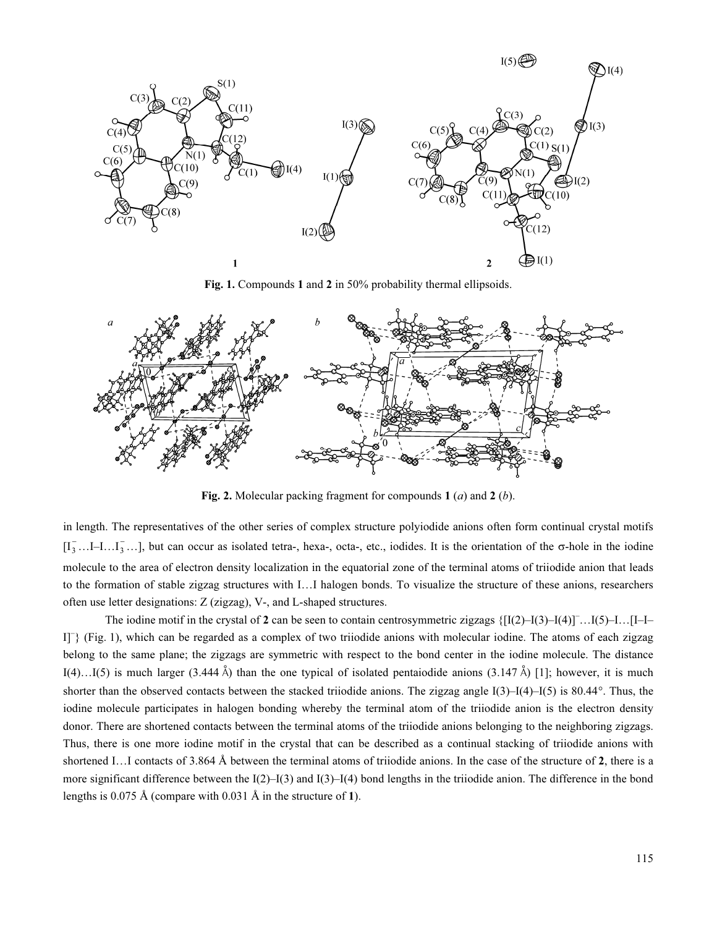

Fig. 1. Compounds 1 and 2 in 50% probability thermal ellipsoids.



Fig. 2. Molecular packing fragment for compounds 1  $(a)$  and 2  $(b)$ .

in length. The representatives of the other series of complex structure polyiodide anions often form continual crystal motifs  $[I_3^-...I_{-1}...I_3^-...]$ , but can occur as isolated tetra-, hexa-, octa-, etc., iodides. It is the orientation of the  $\sigma$ -hole in the iodine molecule to the area of electron density localization in the equatorial zone of the terminal atoms of triiodide anion that leads to the formation of stable zigzag structures with I…I halogen bonds. To visualize the structure of these anions, researchers often use letter designations: Z (zigzag), V-, and L-shaped structures.

The iodine motif in the crystal of 2 can be seen to contain centrosymmetric zigzags  $\{[I(2)-I(3)-I(4)]$ ... $[I(-1)-I(4)]$ ... $[1-I(-1)]$ I]– } (Fig. 1), which can be regarded as a complex of two triiodide anions with molecular iodine. The atoms of each zigzag belong to the same plane; the zigzags are symmetric with respect to the bond center in the iodine molecule. The distance I(4)…I(5) is much larger (3.444 Å) than the one typical of isolated pentaiodide anions (3.147 Å) [1]; however, it is much shorter than the observed contacts between the stacked triiodide anions. The zigzag angle  $I(3)$ – $I(4)$ – $I(5)$  is 80.44°. Thus, the iodine molecule participates in halogen bonding whereby the terminal atom of the triiodide anion is the electron density donor. There are shortened contacts between the terminal atoms of the triiodide anions belonging to the neighboring zigzags. Thus, there is one more iodine motif in the crystal that can be described as a continual stacking of triiodide anions with shortened I…I contacts of 3.864 Å between the terminal atoms of triiodide anions. In the case of the structure of 2, there is a more significant difference between the  $I(2)$ – $I(3)$  and  $I(3)$ – $I(4)$  bond lengths in the triiodide anion. The difference in the bond lengths is 0.075 Å (compare with 0.031 Å in the structure of 1).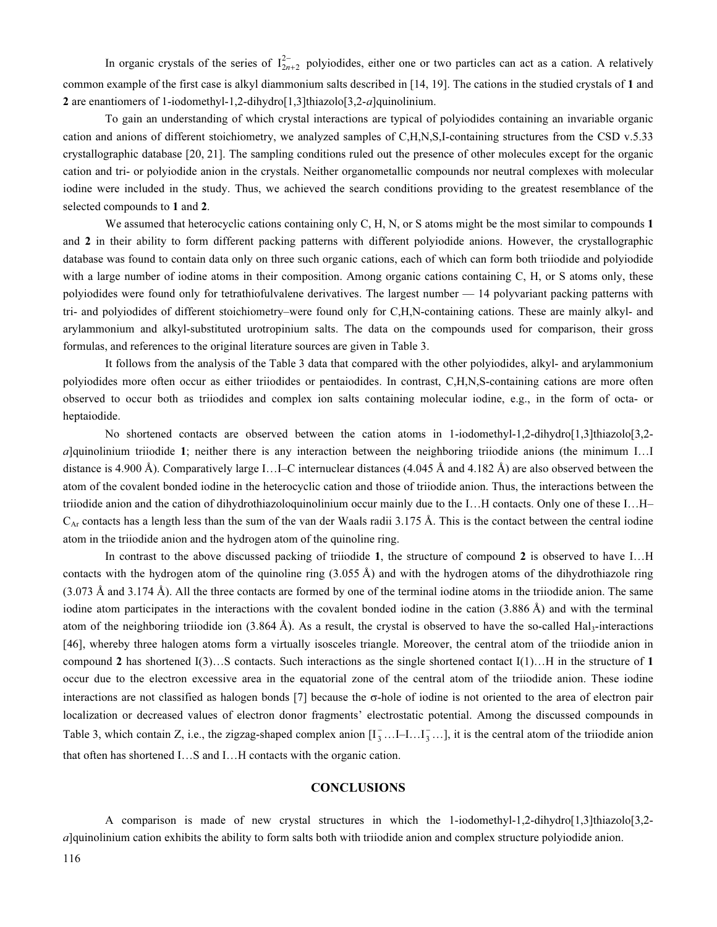In organic crystals of the series of  $I_{2n+2}^{2-}$  polyiodides, either one or two particles can act as a cation. A relatively common example of the first case is alkyl diammonium salts described in [14, 19]. The cations in the studied crystals of 1 and 2 are enantiomers of 1-iodomethyl-1,2-dihydro[1,3]thiazolo[3,2-*a*]quinolinium.

To gain an understanding of which crystal interactions are typical of polyiodides containing an invariable organic cation and anions of different stoichiometry, we analyzed samples of C,H,N,S,I-containing structures from the CSD v.5.33 crystallographic database [20, 21]. The sampling conditions ruled out the presence of other molecules except for the organic cation and tri- or polyiodide anion in the crystals. Neither organometallic compounds nor neutral complexes with molecular iodine were included in the study. Thus, we achieved the search conditions providing to the greatest resemblance of the selected compounds to 1 and 2.

We assumed that heterocyclic cations containing only C, H, N, or S atoms might be the most similar to compounds 1 and 2 in their ability to form different packing patterns with different polyiodide anions. However, the crystallographic database was found to contain data only on three such organic cations, each of which can form both triiodide and polyiodide with a large number of iodine atoms in their composition. Among organic cations containing C, H, or S atoms only, these polyiodides were found only for tetrathiofulvalene derivatives. The largest number — 14 polyvariant packing patterns with tri- and polyiodides of different stoichiometry–were found only for C,H,N-containing cations. These are mainly alkyl- and arylammonium and alkyl-substituted urotropinium salts. The data on the compounds used for comparison, their gross formulas, and references to the original literature sources are given in Table 3.

It follows from the analysis of the Table 3 data that compared with the other polyiodides, alkyl- and arylammonium polyiodides more often occur as either triiodides or pentaiodides. In contrast, C,H,N,S-containing cations are more often observed to occur both as triiodides and complex ion salts containing molecular iodine, e.g., in the form of octa- or heptaiodide.

No shortened contacts are observed between the cation atoms in 1-iodomethyl-1,2-dihydro[1,3]thiazolo[3,2а]quinolinium triiodide 1; neither there is any interaction between the neighboring triiodide anions (the minimum I…I distance is 4.900 Å). Comparatively large I…I–C internuclear distances (4.045 Å and 4.182 Å) are also observed between the atom of the covalent bonded iodine in the heterocyclic cation and those of triiodide anion. Thus, the interactions between the triiodide anion and the cation of dihydrothiazoloquinolinium occur mainly due to the I…H contacts. Only one of these I…H–  $C_{Ar}$  contacts has a length less than the sum of the van der Waals radii 3.175 Å. This is the contact between the central iodine atom in the triiodide anion and the hydrogen atom of the quinoline ring.

In contrast to the above discussed packing of triiodide 1, the structure of compound 2 is observed to have I...H contacts with the hydrogen atom of the quinoline ring (3.055 Å) and with the hydrogen atoms of the dihydrothiazole ring (3.073 Å and 3.174 Å). All the three contacts are formed by one of the terminal iodine atoms in the triiodide anion. The same iodine atom participates in the interactions with the covalent bonded iodine in the cation (3.886 Å) and with the terminal atom of the neighboring triiodide ion  $(3.864 \text{ Å})$ . As a result, the crystal is observed to have the so-called Hal<sub>3</sub>-interactions [46], whereby three halogen atoms form a virtually isosceles triangle. Moreover, the central atom of the triiodide anion in compound 2 has shortened I(3)…S contacts. Such interactions as the single shortened contact I(1)…H in the structure of 1 occur due to the electron excessive area in the equatorial zone of the central atom of the triiodide anion. These iodine interactions are not classified as halogen bonds [7] because the σ-hole of iodine is not oriented to the area of electron pair localization or decreased values of electron donor fragments' electrostatic potential. Among the discussed compounds in Table 3, which contain Z, i.e., the zigzag-shaped complex anion  $[I_3^-...I_{-1}...I_3^-...]$ , it is the central atom of the triiodide anion that often has shortened I…S and I…Н contacts with the organic cation.

#### **CONCLUSIONS**

A comparison is made of new crystal structures in which the 1-iodomethyl-1,2-dihydro[1,3]thiazolo[3,2  $a$ ]quinolinium cation exhibits the ability to form salts both with triiodide anion and complex structure polyiodide anion.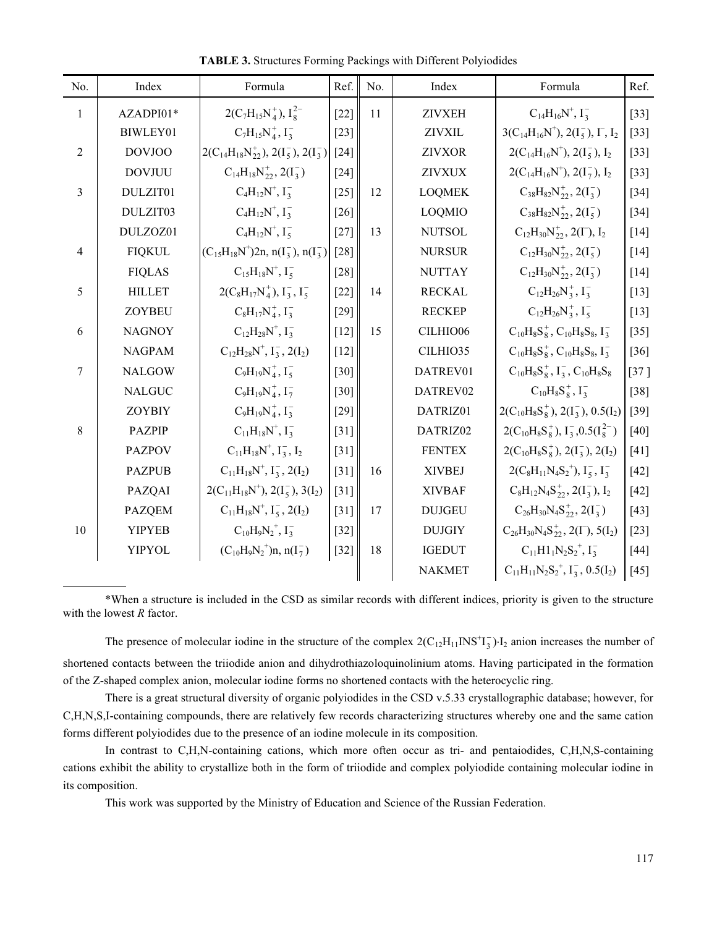| No.            | Index         | Formula                                          | Ref.   | No. | Index         | Formula                                                            | Ref.   |
|----------------|---------------|--------------------------------------------------|--------|-----|---------------|--------------------------------------------------------------------|--------|
| $\mathbf{1}$   | AZADPI01*     | $2(C_7H_{15}N_4^+), I_8^{2-}$                    | $[22]$ | 11  | <b>ZIVXEH</b> | $C_{14}H_{16}N^+$ , $I_3^-$                                        | $[33]$ |
|                | BIWLEY01      | $C_7H_{15}N_4^+$ , $I_3^-$                       | $[23]$ |     | <b>ZIVXIL</b> | $3(C_{14}H_{16}N^+), 2(I_5^-), I_7, I_2$                           | $[33]$ |
| $\overline{2}$ | <b>DOVJOO</b> | $2(C_{14}H_{18}N_{22}^+), 2(I_5^-), 2(I_3^-)$    | $[24]$ |     | <b>ZIVXOR</b> | $2(C_{14}H_{16}N^+), 2(I_5^-), I_2$                                | $[33]$ |
|                | <b>DOVJUU</b> | $C_{14}H_{18}N_{22}^+$ , $2(I_3^-)$              | $[24]$ |     | <b>ZIVXUX</b> | $2(C_{14}H_{16}N^+), 2(I_7^-), I_2$                                | $[33]$ |
| 3              | DULZIT01      | $C_4H_{12}N^+$ , $I_3^-$                         | $[25]$ | 12  | <b>LOQMEK</b> | $C_{38}H_{82}N_{22}^+$ , 2( $I_3^-$ )                              | $[34]$ |
|                | DULZIT03      | $C_4H_{12}N^+$ , $I_3^-$                         | $[26]$ |     | <b>LOQMIO</b> | $C_{38}H_{82}N_{22}^+$ , 2( $I_5^-$ )                              | $[34]$ |
|                | DULZOZ01      | $C_4H_{12}N^+$ , $I_5^-$                         | $[27]$ | 13  | <b>NUTSOL</b> | $C_{12}H_{30}N_{22}^+$ , 2(I <sup>-</sup> ), I <sub>2</sub>        | $[14]$ |
| $\overline{4}$ | <b>FIQKUL</b> | $(C_{15}H_{18}N^{+})2n, n(I_3^-), n(I_3^-)$      | $[28]$ |     | <b>NURSUR</b> | $C_{12}H_{30}N_{22}^+$ , $2(I_5^-)$                                | $[14]$ |
|                | <b>FIQLAS</b> | $C_{15}H_{18}N^{+}$ , $I_{5}^{-}$                | $[28]$ |     | <b>NUTTAY</b> | $C_{12}H_{30}N_{22}^+$ , 2( $I_3^-$ )                              | $[14]$ |
| 5              | <b>HILLET</b> | $2(C_8H_{17}N_4^+), I_3^-, I_5^-$                | $[22]$ | 14  | <b>RECKAL</b> | $C_{12}H_{26}N_3^+$ , $I_3^-$                                      | $[13]$ |
|                | <b>ZOYBEU</b> | $C_8H_{17}N_4^+$ , $I_3^-$                       | $[29]$ |     | <b>RECKEP</b> | $C_{12}H_{26}N_3^+$ , $I_5^-$                                      | $[13]$ |
| 6              | <b>NAGNOY</b> | $C_{12}H_{28}N^{+}$ , $I_{3}^{-}$                | $[12]$ | 15  | CILHIO06      | $C_{10}H_8S_8^+$ , $C_{10}H_8S_8$ , $I_3^-$                        | $[35]$ |
|                | <b>NAGPAM</b> | $C_{12}H_{28}N^+$ , $I_3^-$ , $2(I_2)$           | $[12]$ |     | CILHIO35      | $C_{10}H_8S_8^+$ , $C_{10}H_8S_8$ , $I_3^-$                        | $[36]$ |
| $\overline{7}$ | <b>NALGOW</b> | $C_9H_{19}N_4^+$ , $I_5^-$                       | $[30]$ |     | DATREV01      | $C_{10}H_8S_8^+$ , $I_3^-$ , $C_{10}H_8S_8$                        | $[37]$ |
|                | <b>NALGUC</b> | $C_9H_{19}N_4^+$ , $I_7^-$                       | $[30]$ |     | DATREV02      | $C_{10}H_8S_8^+$ , $I_3^-$                                         | $[38]$ |
|                | <b>ZOYBIY</b> | $C_9H_{19}N_4^+$ , $I_3^-$                       | $[29]$ |     | DATRIZ01      | $2(C_{10}H_8S_8^+), 2(I_3^-), 0.5(I_2)$                            | $[39]$ |
| 8              | <b>PAZPIP</b> | $C_{11}H_{18}N^{+}$ , $I_3^-$                    | $[31]$ |     | DATRIZ02      | $2(C_{10}H_8S_8^+), I_3^-, 0.5(I_8^{2-})$                          | $[40]$ |
|                | <b>PAZPOV</b> | $C_{11}H_{18}N^+$ , $I_3^-$ , $I_2$              | $[31]$ |     | <b>FENTEX</b> | $2(C_{10}H_8S_8^+), 2(I_3^-), 2(I_2)$                              | $[41]$ |
|                | <b>PAZPUB</b> | $C_{11}H_{18}N^+$ , $I_3^-$ , 2(I <sub>2</sub> ) | $[31]$ | 16  | <b>XIVBEJ</b> | $2(C_8H_{11}N_4S_2^+), I_5^-, I_3^-$                               | $[42]$ |
|                | PAZQAI        | $2(C_{11}H_{18}N^{+}), 2(I_5^{-}), 3(I_2)$       | $[31]$ |     | <b>XIVBAF</b> | $C_8H_{12}N_4S_{22}^+$ , 2( $I_3^-$ ), $I_2$                       | $[42]$ |
|                | <b>PAZQEM</b> | $C_{11}H_{18}N^+$ , $I_5^-$ , 2(I <sub>2</sub> ) | $[31]$ | 17  | <b>DUJGEU</b> | $C_{26}H_{30}N_4S^+_{22}, 2(I_3^-)$                                | $[43]$ |
| 10             | <b>YIPYEB</b> | $C_{10}H_9N_2^+, I_3^-$                          | $[32]$ |     | <b>DUJGIY</b> | $C_{26}H_{30}N_4S_{22}^+$ , 2(I <sup>-</sup> ), 5(I <sub>2</sub> ) | $[23]$ |
|                | <b>YIPYOL</b> | $(C_{10}H_9N_2^+)n, n(I_7^-)$                    | $[32]$ | 18  | <b>IGEDUT</b> | $C_{11}H1_1N_2S_2^+, I_3^-$                                        | $[44]$ |
|                |               |                                                  |        |     | <b>NAKMET</b> | $C_{11}H_{11}N_2S_2^+, I_3^-, 0.5(I_2)$                            | $[45]$ |

TABLE 3. Structures Forming Packings with Different Polyiodides

\*When a structure is included in the CSD as similar records with different indices, priority is given to the structure with the lowest  $R$  factor.

The presence of molecular iodine in the structure of the complex  $2(C_{12}H_{11}INS^{\dagger}T_3)$   $I_2$  anion increases the number of shortened contacts between the triiodide anion and dihydrothiazoloquinolinium atoms. Having participated in the formation of the Z-shaped complex anion, molecular iodine forms no shortened contacts with the heterocyclic ring.

There is a great structural diversity of organic polyiodides in the CSD v.5.33 crystallographic database; however, for C,H,N,S,I-containing compounds, there are relatively few records characterizing structures whereby one and the same cation forms different polyiodides due to the presence of an iodine molecule in its composition.

In contrast to C,H,N-containing cations, which more often occur as tri- and pentaiodides, C,H,N,S-containing cations exhibit the ability to crystallize both in the form of triiodide and complex polyiodide containing molecular iodine in its composition.

This work was supported by the Ministry of Education and Science of the Russian Federation.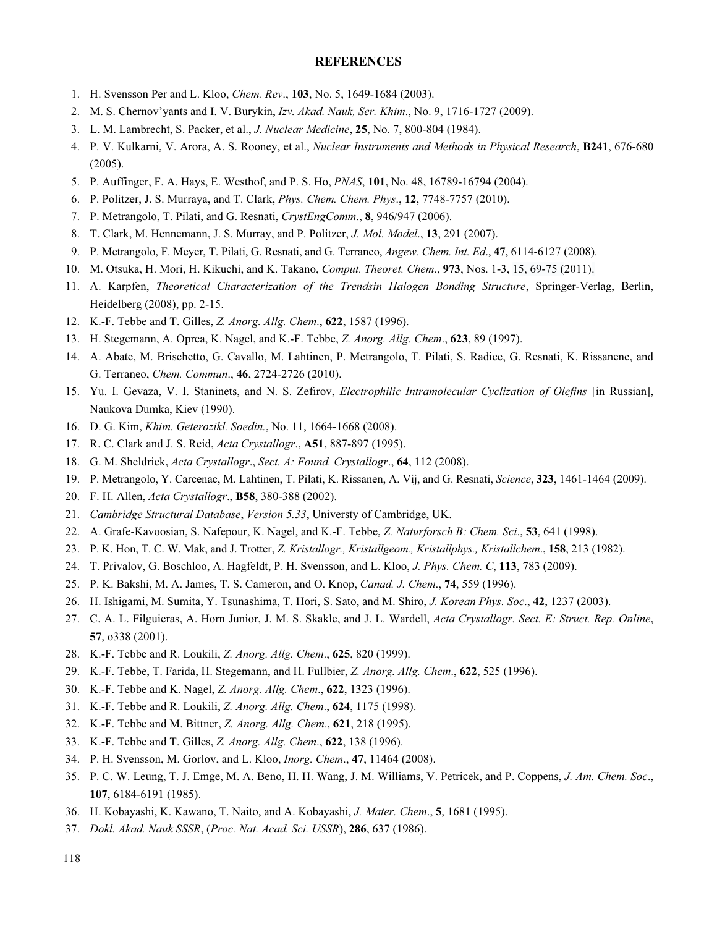### REFERENCES

- 1. H. Svensson Per and L. Kloo, Chem. Rev., 103, No. 5, 1649-1684 (2003).
- 2. M. S. Chernov'yants and I. V. Burykin, Izv. Akad. Nauk, Ser. Khim., No. 9, 1716-1727 (2009).
- 3. L. M. Lambrecht, S. Packer, et al., J. Nuclear Medicine, 25, No. 7, 800-804 (1984).
- 4. P. V. Kulkarni, V. Arora, A. S. Rooney, et al., Nuclear Instruments and Methods in Physical Research, B241, 676-680 (2005).
- 5. P. Auffinger, F. A. Hays, E. Westhof, and P. S. Ho, PNAS, 101, No. 48, 16789-16794 (2004).
- 6. P. Politzer, J. S. Murraya, and T. Clark, Phys. Chem. Chem. Phys., 12, 7748-7757 (2010).
- 7. P. Metrangolo, T. Pilati, and G. Resnati, CrystEngComm., 8, 946/947 (2006).
- 8. T. Clark, M. Hennemann, J. S. Murray, and P. Politzer, J. Mol. Model., 13, 291 (2007).
- 9. P. Metrangolo, F. Meyer, T. Pilati, G. Resnati, and G. Terraneo, Angew. Chem. Int. Ed., 47, 6114-6127 (2008).
- 10. M. Otsuka, H. Mori, H. Kikuchi, and K. Takano, *Comput. Theoret. Chem.*, **973**, Nos. 1-3, 15, 69-75 (2011).
- 11. A. Karpfen, Theoretical Characterization of the Trendsin Halogen Bonding Structure, Springer-Verlag, Berlin, Heidelberg (2008), pp. 2-15.
- 12. K.-F. Tebbe and T. Gilles, Z. Anorg. Allg. Chem., 622, 1587 (1996).
- 13. H. Stegemann, A. Oprea, K. Nagel, and K.-F. Tebbe, Z. Anorg. Allg. Chem., 623, 89 (1997).
- 14. A. Abate, M. Brischetto, G. Cavallo, M. Lahtinen, P. Metrangolo, T. Pilati, S. Radice, G. Resnati, K. Rissanene, and G. Terraneo, Chem. Commun., 46, 2724-2726 (2010).
- 15. Yu. I. Gevaza, V. I. Staninets, and N. S. Zefirov, Electrophilic Intramolecular Cyclization of Olefins [in Russian], Naukova Dumka, Kiev (1990).
- 16. D. G. Kim, Khim. Geterozikl. Soedin., No. 11, 1664-1668 (2008).
- 17. R. C. Clark and J. S. Reid, Acta Crystallogr., A51, 887-897 (1995).
- 18. G. M. Sheldrick, Acta Crystallogr., Sect. A: Found. Crystallogr., 64, 112 (2008).
- 19. P. Metrangolo, Y. Carcenac, M. Lahtinen, T. Pilati, K. Rissanen, A. Vij, and G. Resnati, Science, 323, 1461-1464 (2009).
- 20. F. H. Allen, Acta Crystallogr., B58, 380-388 (2002).
- 21. Cambridge Structural Database, Version 5.33, Universty of Cambridge, UK.
- 22. A. Grafe-Kavoosian, S. Nafepour, K. Nagel, and K.-F. Tebbe, Z. Naturforsch B: Chem. Sci., 53, 641 (1998).
- 23. P. K. Hon, T. C. W. Mak, and J. Trotter, Z. Kristallogr., Kristallgeom., Kristallphys., Kristallchem., 158, 213 (1982).
- 24. T. Privalov, G. Boschloo, A. Hagfeldt, P. H. Svensson, and L. Kloo, J. Phys. Chem. C, 113, 783 (2009).
- 25. P. K. Bakshi, M. A. James, T. S. Cameron, and O. Knop, Canad. J. Chem., 74, 559 (1996).
- 26. H. Ishigami, M. Sumita, Y. Tsunashima, T. Hori, S. Sato, and M. Shiro, J. Korean Phys. Soc., 42, 1237 (2003).
- 27. C. A. L. Filguieras, A. Horn Junior, J. M. S. Skakle, and J. L. Wardell, Acta Crystallogr. Sect. E: Struct. Rep. Online, 57, o338 (2001).
- 28. K.-F. Tebbe and R. Loukili, Z. Anorg. Allg. Chem., 625, 820 (1999).
- 29. K.-F. Tebbe, T. Farida, H. Stegemann, and H. Fullbier, Z. Anorg. Allg. Chem., 622, 525 (1996).
- 30. K.-F. Tebbe and K. Nagel, Z. Anorg. Allg. Chem., 622, 1323 (1996).
- 31. K.-F. Tebbe and R. Loukili, Z. Anorg. Allg. Chem., 624, 1175 (1998).
- 32. K.-F. Tebbe and M. Bittner, Z. Anorg. Allg. Chem., 621, 218 (1995).
- 33. K.-F. Tebbe and T. Gilles, Z. Anorg. Allg. Chem., 622, 138 (1996).
- 34. P. H. Svensson, M. Gorlov, and L. Kloo, Inorg. Chem., 47, 11464 (2008).
- 35. P. C. W. Leung, T. J. Emge, M. A. Beno, H. H. Wang, J. M. Williams, V. Petricek, and P. Coppens, J. Am. Chem. Soc., 107, 6184-6191 (1985).
- 36. H. Kobayashi, K. Kawano, T. Naito, and A. Kobayashi, J. Mater. Chem., 5, 1681 (1995).
- 37. Dokl. Akad. Nauk SSSR, (Proc. Nat. Acad. Sci. USSR), 286, 637 (1986).